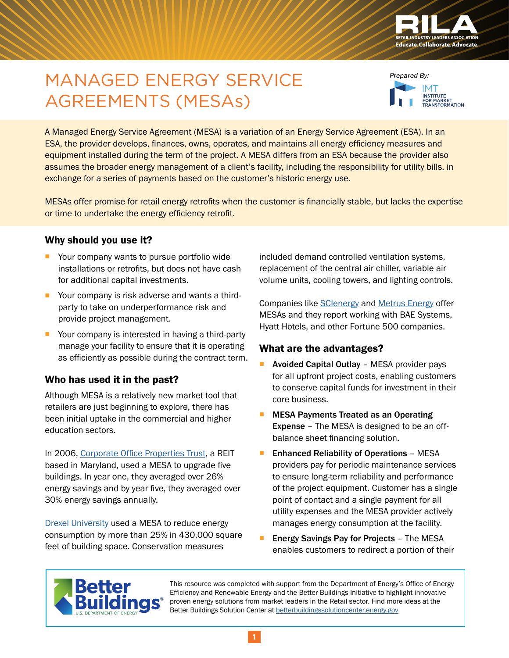

# MANAGED ENERGY SERVICE AGREEMENTS (MESAs)



A Managed Energy Service Agreement (MESA) is a variation of an Energy Service Agreement (ESA). In an ESA, the provider develops, finances, owns, operates, and maintains all energy efficiency measures and equipment installed during the term of the project. A MESA differs from an ESA because the provider also assumes the broader energy management of a client's facility, including the responsibility for utility bills, in exchange for a series of payments based on the customer's historic energy use.

MESAs offer promise for retail energy retrofits when the customer is financially stable, but lacks the expertise or time to undertake the energy efficiency retrofit.

### Why should you use it?

- Your company wants to pursue portfolio wide installations or retrofits, but does not have cash for additional capital investments.
- Your company is risk adverse and wants a thirdparty to take on underperformance risk and provide project management.
- Your company is interested in having a third-party manage your facility to ensure that it is operating as efficiently as possible during the contract term.

### Who has used it in the past?

Although MESA is a relatively new market tool that retailers are just beginning to explore, there has been initial uptake in the commercial and higher education sectors.

In 2006, [Corporate Office Properties Trust](http://scienergy.com/success-story/corporate-office-properties-trust-copt/), a REIT based in Maryland, used a MESA to upgrade five buildings. In year one, they averaged over 26% energy savings and by year five, they averaged over 30% energy savings annually.

[Drexel University](http://scienergy.com/success-story/drexel-university/) used a MESA to reduce energy consumption by more than 25% in 430,000 square feet of building space. Conservation measures

included demand controlled ventilation systems, replacement of the central air chiller, variable air volume units, cooling towers, and lighting controls.

Companies like [SCIenergy](http://www.SCIenergy.com) and [Metrus Energy](http://www.metrusenergy.com) offer MESAs and they report working with BAE Systems, Hyatt Hotels, and other Fortune 500 companies.

#### What are the advantages?

- **Avoided Capital Outlay** MESA provider pays for all upfront project costs, enabling customers to conserve capital funds for investment in their core business.
- MESA Payments Treated as an Operating Expense – The MESA is designed to be an offbalance sheet financing solution.
- **Enhanced Reliability of Operations MESA** providers pay for periodic maintenance services to ensure long-term reliability and performance of the project equipment. Customer has a single point of contact and a single payment for all utility expenses and the MESA provider actively manages energy consumption at the facility.
- Energy Savings Pay for Projects The MESA enables customers to redirect a portion of their



This resource was completed with support from the Department of Energy's Office of Energy Efficiency and Renewable Energy and the Better Buildings Initiative to highlight innovative proven energy solutions from market leaders in the Retail sector. Find more ideas at the Better Buildings Solution Center at [betterbuildingssolutioncenter.energy.gov](http://betterbuildingssolutioncenter.energy.gov)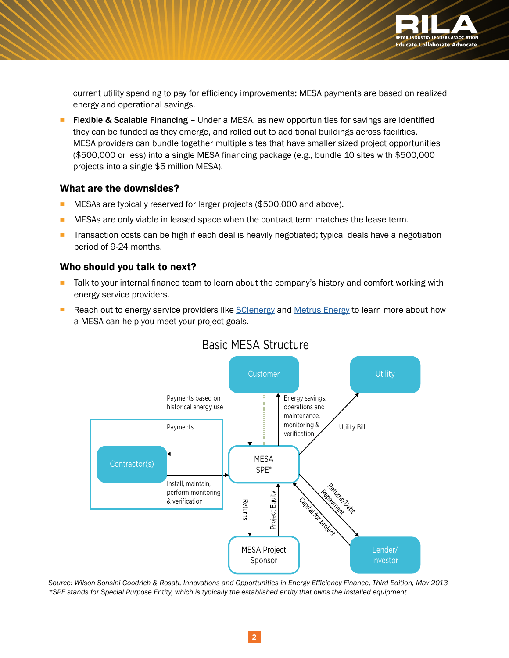

current utility spending to pay for efficiency improvements; MESA payments are based on realized energy and operational savings.

 Flexible & Scalable Financing – Under a MESA, as new opportunities for savings are identified they can be funded as they emerge, and rolled out to additional buildings across facilities. MESA providers can bundle together multiple sites that have smaller sized project opportunities (\$500,000 or less) into a single MESA financing package (e.g., bundle 10 sites with \$500,000 projects into a single \$5 million MESA).

#### What are the downsides?

- MESAs are typically reserved for larger projects (\$500,000 and above).
- **MESAs are only viable in leased space when the contract term matches the lease term.**
- **T** Transaction costs can be high if each deal is heavily negotiated; typical deals have a negotiation period of 9-24 months.

### Who should you talk to next?

- Talk to your internal finance team to learn about the company's history and comfort working with energy service providers.
- Reach out to energy service providers like [SCIenergy](http://www.scienergy.com/) and [Metrus Energy](http://www.metrusenergy.com/) to learn more about how a MESA can help you meet your project goals.



### Basic MESA Structure

*Source: Wilson Sonsini Goodrich & Rosati, Innovations and Opportunities in Energy Efficiency Finance, Third Edition, May 2013 \*SPE stands for Special Purpose Entity, which is typically the established entity that owns the installed equipment.*